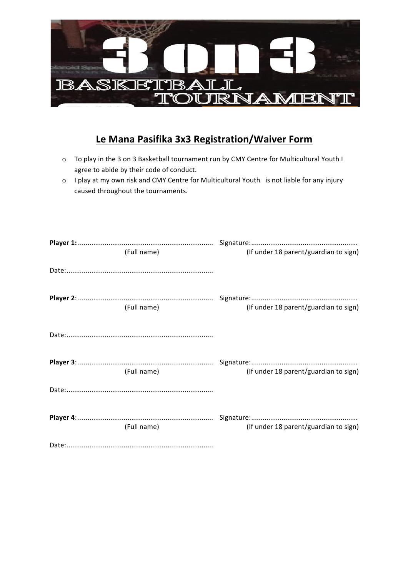

# **Le Mana Pasifika 3x3 Registration/Waiver Form**

- o To play in the 3 on 3 Basketball tournament run by CMY Centre for Multicultural Youth I agree to abide by their code of conduct.
- o I play at my own risk and CMY Centre for Multicultural Youth is not liable for any injury caused throughout the tournaments.

| (Full name) | (If under 18 parent/guardian to sign) |
|-------------|---------------------------------------|
|             |                                       |
| (Full name) | (If under 18 parent/guardian to sign) |
|             |                                       |
| (Full name) | (If under 18 parent/guardian to sign) |
|             |                                       |
| (Full name) | (If under 18 parent/guardian to sign) |
|             |                                       |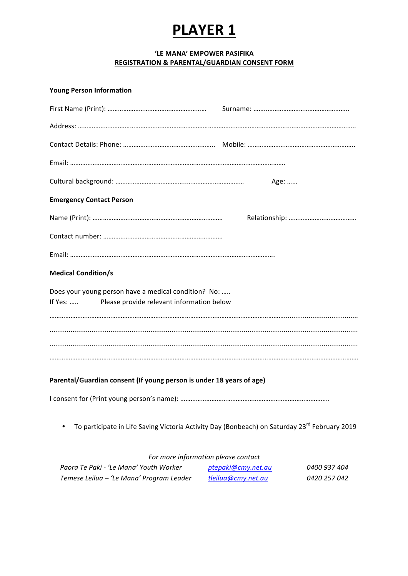# **'LE MANA' EMPOWER PASIFIKA REGISTRATION & PARENTAL/GUARDIAN CONSENT FORM**

# **Young Person Information**

|                                                                                                                        | Age: |
|------------------------------------------------------------------------------------------------------------------------|------|
| <b>Emergency Contact Person</b>                                                                                        |      |
|                                                                                                                        |      |
|                                                                                                                        |      |
|                                                                                                                        |      |
| <b>Medical Condition/s</b>                                                                                             |      |
| Does your young person have a medical condition? No:                                                                   |      |
| If Yes:<br>Please provide relevant information below                                                                   |      |
|                                                                                                                        |      |
|                                                                                                                        |      |
|                                                                                                                        |      |
| Parental/Guardian consent (If young person is under 18 years of age)                                                   |      |
|                                                                                                                        |      |
| To participate in Life Saving Victoria Activity Day (Bonbeach) on Saturday 23 <sup>rd</sup> February 2019<br>$\bullet$ |      |

# For more information please contact

| Paora Te Paki - 'Le Mana' Youth Worker   | ptepaki@cmy.net.au | 0400 937 404 |
|------------------------------------------|--------------------|--------------|
| Temese Leilua – 'Le Mana' Program Leader | tleilua@cmy.net.au | 0420 257 042 |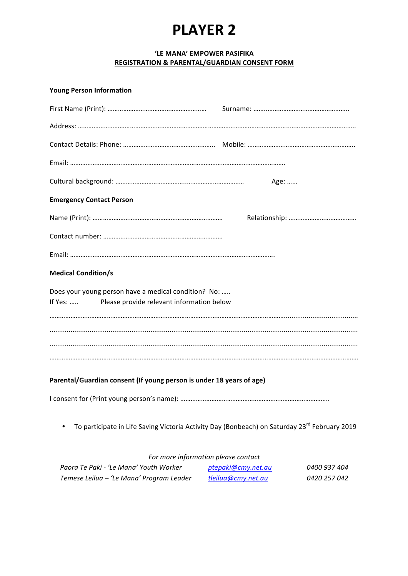## **'LE MANA' EMPOWER PASIFIKA REGISTRATION & PARENTAL/GUARDIAN CONSENT FORM**

#### **Young Person Information**

|                                                                                                                        | Age: |
|------------------------------------------------------------------------------------------------------------------------|------|
| <b>Emergency Contact Person</b>                                                                                        |      |
|                                                                                                                        |      |
|                                                                                                                        |      |
|                                                                                                                        |      |
| <b>Medical Condition/s</b>                                                                                             |      |
| Does your young person have a medical condition? No:                                                                   |      |
| If Yes:  Please provide relevant information below                                                                     |      |
|                                                                                                                        |      |
|                                                                                                                        |      |
|                                                                                                                        |      |
|                                                                                                                        |      |
| Parental/Guardian consent (If young person is under 18 years of age)                                                   |      |
|                                                                                                                        |      |
| To participate in Life Saving Victoria Activity Day (Bonbeach) on Saturday 23 <sup>rd</sup> February 2019<br>$\bullet$ |      |

| For more information please contact      |                    |              |
|------------------------------------------|--------------------|--------------|
| Paora Te Paki - 'Le Mana' Youth Worker   | ptepaki@cmy.net.au | 0400 937 404 |
| Temese Leilua – 'Le Mana' Program Leader | tleilua@cmy.net.au | 0420 257 042 |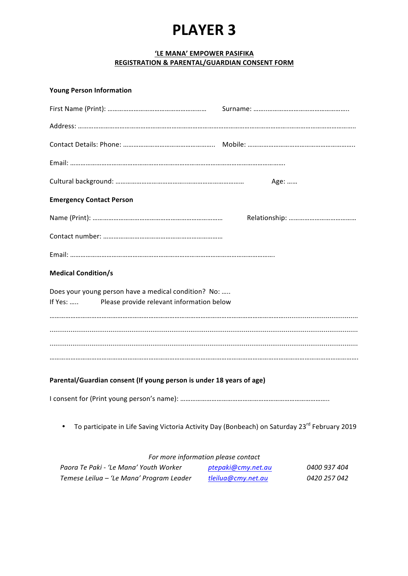# **'LE MANA' EMPOWER PASIFIKA REGISTRATION & PARENTAL/GUARDIAN CONSENT FORM**

### **Young Person Information**

|                                                                                                                        | Age: |
|------------------------------------------------------------------------------------------------------------------------|------|
| <b>Emergency Contact Person</b>                                                                                        |      |
|                                                                                                                        |      |
|                                                                                                                        |      |
|                                                                                                                        |      |
| <b>Medical Condition/s</b>                                                                                             |      |
| Does your young person have a medical condition? No:                                                                   |      |
| If Yes:  Please provide relevant information below                                                                     |      |
|                                                                                                                        |      |
|                                                                                                                        |      |
|                                                                                                                        |      |
|                                                                                                                        |      |
| Parental/Guardian consent (If young person is under 18 years of age)                                                   |      |
|                                                                                                                        |      |
| To participate in Life Saving Victoria Activity Day (Bonbeach) on Saturday 23 <sup>rd</sup> February 2019<br>$\bullet$ |      |

| For more information please contact      |                    |              |
|------------------------------------------|--------------------|--------------|
| Paora Te Paki - 'Le Mana' Youth Worker   | ptepaki@cmy.net.au | 0400 937 404 |
| Temese Leilua – 'Le Mana' Program Leader | tleilua@cmy.net.au | 0420 257 042 |